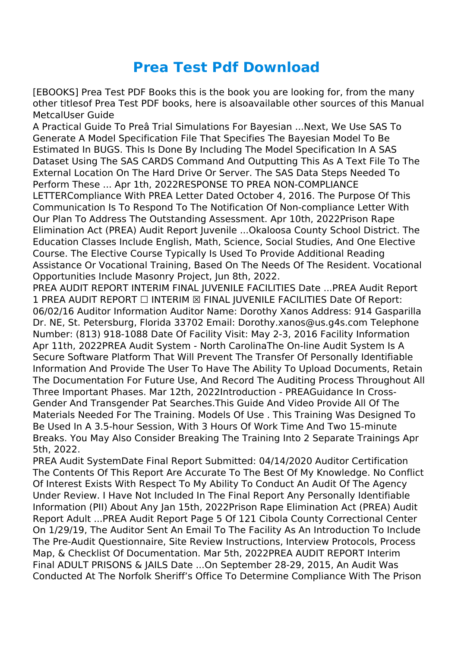## **Prea Test Pdf Download**

[EBOOKS] Prea Test PDF Books this is the book you are looking for, from the many other titlesof Prea Test PDF books, here is alsoavailable other sources of this Manual MetcalUser Guide

A Practical Guide To Preâ Trial Simulations For Bayesian ...Next, We Use SAS To Generate A Model Specification File That Specifies The Bayesian Model To Be Estimated In BUGS. This Is Done By Including The Model Specification In A SAS Dataset Using The SAS CARDS Command And Outputting This As A Text File To The External Location On The Hard Drive Or Server. The SAS Data Steps Needed To Perform These ... Apr 1th, 2022RESPONSE TO PREA NON-COMPLIANCE LETTERCompliance With PREA Letter Dated October 4, 2016. The Purpose Of This Communication Is To Respond To The Notification Of Non-compliance Letter With Our Plan To Address The Outstanding Assessment. Apr 10th, 2022Prison Rape Elimination Act (PREA) Audit Report Juvenile ...Okaloosa County School District. The Education Classes Include English, Math, Science, Social Studies, And One Elective Course. The Elective Course Typically Is Used To Provide Additional Reading Assistance Or Vocational Training, Based On The Needs Of The Resident. Vocational Opportunities Include Masonry Project, Jun 8th, 2022.

PREA AUDIT REPORT INTERIM FINAL JUVENILE FACILITIES Date ...PREA Audit Report 1 PREA AUDIT REPORT ☐ INTERIM ☒ FINAL JUVENILE FACILITIES Date Of Report: 06/02/16 Auditor Information Auditor Name: Dorothy Xanos Address: 914 Gasparilla Dr. NE, St. Petersburg, Florida 33702 Email: Dorothy.xanos@us.g4s.com Telephone Number: (813) 918-1088 Date Of Facility Visit: May 2-3, 2016 Facility Information Apr 11th, 2022PREA Audit System - North CarolinaThe On-line Audit System Is A Secure Software Platform That Will Prevent The Transfer Of Personally Identifiable Information And Provide The User To Have The Ability To Upload Documents, Retain The Documentation For Future Use, And Record The Auditing Process Throughout All Three Important Phases. Mar 12th, 2022Introduction - PREAGuidance In Cross-Gender And Transgender Pat Searches.This Guide And Video Provide All Of The Materials Needed For The Training. Models Of Use . This Training Was Designed To Be Used In A 3.5-hour Session, With 3 Hours Of Work Time And Two 15-minute Breaks. You May Also Consider Breaking The Training Into 2 Separate Trainings Apr 5th, 2022.

PREA Audit SystemDate Final Report Submitted: 04/14/2020 Auditor Certification The Contents Of This Report Are Accurate To The Best Of My Knowledge. No Conflict Of Interest Exists With Respect To My Ability To Conduct An Audit Of The Agency Under Review. I Have Not Included In The Final Report Any Personally Identifiable Information (PII) About Any Jan 15th, 2022Prison Rape Elimination Act (PREA) Audit Report Adult ...PREA Audit Report Page 5 Of 121 Cibola County Correctional Center On 1/29/19, The Auditor Sent An Email To The Facility As An Introduction To Include The Pre-Audit Questionnaire, Site Review Instructions, Interview Protocols, Process Map, & Checklist Of Documentation. Mar 5th, 2022PREA AUDIT REPORT Interim Final ADULT PRISONS & JAILS Date ...On September 28-29, 2015, An Audit Was Conducted At The Norfolk Sheriff's Office To Determine Compliance With The Prison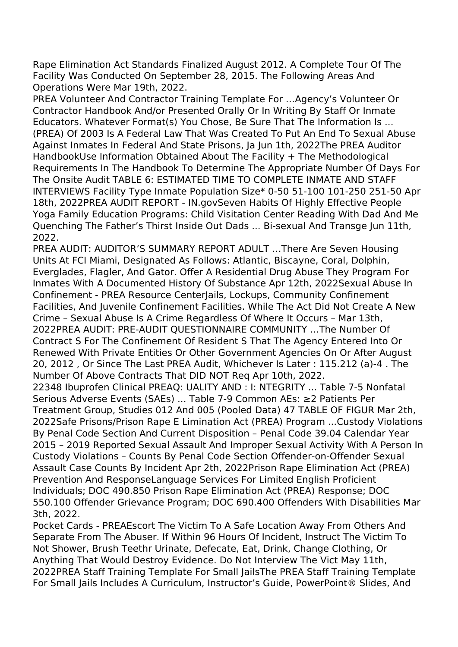Rape Elimination Act Standards Finalized August 2012. A Complete Tour Of The Facility Was Conducted On September 28, 2015. The Following Areas And Operations Were Mar 19th, 2022.

PREA Volunteer And Contractor Training Template For …Agency's Volunteer Or Contractor Handbook And/or Presented Orally Or In Writing By Staff Or Inmate Educators. Whatever Format(s) You Chose, Be Sure That The Information Is ... (PREA) Of 2003 Is A Federal Law That Was Created To Put An End To Sexual Abuse Against Inmates In Federal And State Prisons, Ja Jun 1th, 2022The PREA Auditor HandbookUse Information Obtained About The Facility + The Methodological Requirements In The Handbook To Determine The Appropriate Number Of Days For The Onsite Audit TABLE 6: ESTIMATED TIME TO COMPLETE INMATE AND STAFF INTERVIEWS Facility Type Inmate Population Size\* 0-50 51-100 101-250 251-50 Apr 18th, 2022PREA AUDIT REPORT - IN.govSeven Habits Of Highly Effective People Yoga Family Education Programs: Child Visitation Center Reading With Dad And Me Quenching The Father's Thirst Inside Out Dads ... Bi-sexual And Transge Jun 11th, 2022.

PREA AUDIT: AUDITOR'S SUMMARY REPORT ADULT …There Are Seven Housing Units At FCI Miami, Designated As Follows: Atlantic, Biscayne, Coral, Dolphin, Everglades, Flagler, And Gator. Offer A Residential Drug Abuse They Program For Inmates With A Documented History Of Substance Apr 12th, 2022Sexual Abuse In Confinement - PREA Resource CenterJails, Lockups, Community Confinement Facilities, And Juvenile Confinement Facilities. While The Act Did Not Create A New Crime – Sexual Abuse Is A Crime Regardless Of Where It Occurs – Mar 13th, 2022PREA AUDIT: PRE-AUDIT QUESTIONNAIRE COMMUNITY …The Number Of Contract S For The Confinement Of Resident S That The Agency Entered Into Or Renewed With Private Entities Or Other Government Agencies On Or After August 20, 2012 , Or Since The Last PREA Audit, Whichever Is Later : 115.212 (a)-4 . The Number Of Above Contracts That DID NOT Req Apr 10th, 2022. 22348 Ibuprofen Clinical PREAQ: UALITY AND : I: NTEGRITY ... Table 7-5 Nonfatal Serious Adverse Events (SAEs) ... Table 7-9 Common AEs: ≥2 Patients Per Treatment Group, Studies 012 And 005 (Pooled Data) 47 TABLE OF FIGUR Mar 2th, 2022Safe Prisons/Prison Rape E Limination Act (PREA) Program ...Custody Violations By Penal Code Section And Current Disposition – Penal Code 39.04 Calendar Year 2015 – 2019 Reported Sexual Assault And Improper Sexual Activity With A Person In Custody Violations – Counts By Penal Code Section Offender-on-Offender Sexual Assault Case Counts By Incident Apr 2th, 2022Prison Rape Elimination Act (PREA) Prevention And ResponseLanguage Services For Limited English Proficient Individuals; DOC 490.850 Prison Rape Elimination Act (PREA) Response; DOC 550.100 Offender Grievance Program; DOC 690.400 Offenders With Disabilities Mar

3th, 2022.

Pocket Cards - PREAEscort The Victim To A Safe Location Away From Others And Separate From The Abuser. If Within 96 Hours Of Incident, Instruct The Victim To Not Shower, Brush Teethr Urinate, Defecate, Eat, Drink, Change Clothing, Or Anything That Would Destroy Evidence. Do Not Interview The Vict May 11th, 2022PREA Staff Training Template For Small JailsThe PREA Staff Training Template For Small Jails Includes A Curriculum, Instructor's Guide, PowerPoint® Slides, And